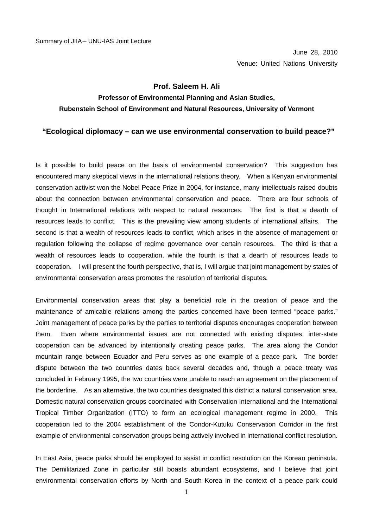## **Prof. Saleem H. Ali**

## **Professor of Environmental Planning and Asian Studies, Rubenstein School of Environment and Natural Resources, University of Vermont**

## **"Ecological diplomacy – can we use environmental conservation to build peace?"**

Is it possible to build peace on the basis of environmental conservation? This suggestion has encountered many skeptical views in the international relations theory. When a Kenyan environmental conservation activist won the Nobel Peace Prize in 2004, for instance, many intellectuals raised doubts about the connection between environmental conservation and peace. There are four schools of thought in International relations with respect to natural resources. The first is that a dearth of resources leads to conflict. This is the prevailing view among students of international affairs. The second is that a wealth of resources leads to conflict, which arises in the absence of management or regulation following the collapse of regime governance over certain resources. The third is that a wealth of resources leads to cooperation, while the fourth is that a dearth of resources leads to cooperation. I will present the fourth perspective, that is, I will argue that joint management by states of environmental conservation areas promotes the resolution of territorial disputes.

Environmental conservation areas that play a beneficial role in the creation of peace and the maintenance of amicable relations among the parties concerned have been termed "peace parks." Joint management of peace parks by the parties to territorial disputes encourages cooperation between them. Even where environmental issues are not connected with existing disputes, inter-state cooperation can be advanced by intentionally creating peace parks. The area along the Condor mountain range between Ecuador and Peru serves as one example of a peace park. The border dispute between the two countries dates back several decades and, though a peace treaty was concluded in February 1995, the two countries were unable to reach an agreement on the placement of the borderline. As an alternative, the two countries designated this district a natural conservation area. Domestic natural conservation groups coordinated with Conservation International and the International Tropical Timber Organization (ITTO) to form an ecological management regime in 2000. This cooperation led to the 2004 establishment of the Condor-Kutuku Conservation Corridor in the first example of environmental conservation groups being actively involved in international conflict resolution.

In East Asia, peace parks should be employed to assist in conflict resolution on the Korean peninsula. The Demilitarized Zone in particular still boasts abundant ecosystems, and I believe that joint environmental conservation efforts by North and South Korea in the context of a peace park could